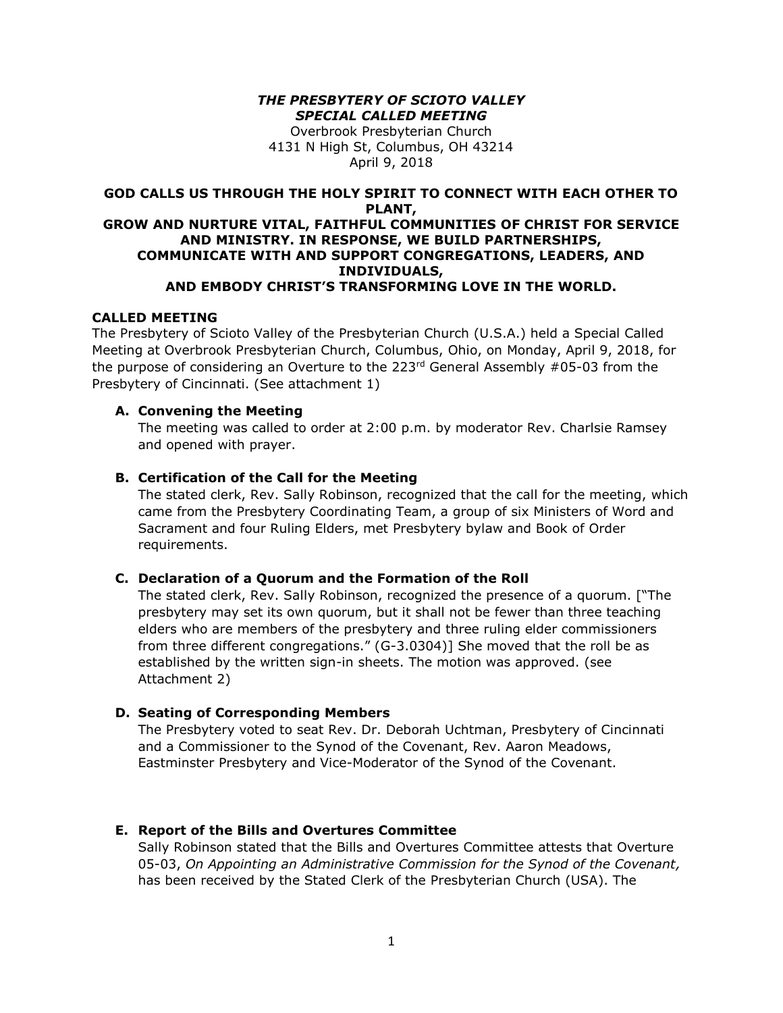#### *THE PRESBYTERY OF SCIOTO VALLEY SPECIAL CALLED MEETING*

Overbrook Presbyterian Church 4131 N High St, Columbus, OH 43214 April 9, 2018

# **GOD CALLS US THROUGH THE HOLY SPIRIT TO CONNECT WITH EACH OTHER TO PLANT,**

#### **GROW AND NURTURE VITAL, FAITHFUL COMMUNITIES OF CHRIST FOR SERVICE AND MINISTRY. IN RESPONSE, WE BUILD PARTNERSHIPS, COMMUNICATE WITH AND SUPPORT CONGREGATIONS, LEADERS, AND INDIVIDUALS, AND EMBODY CHRIST'S TRANSFORMING LOVE IN THE WORLD.**

#### **CALLED MEETING**

The Presbytery of Scioto Valley of the Presbyterian Church (U.S.A.) held a Special Called Meeting at Overbrook Presbyterian Church, Columbus, Ohio, on Monday, April 9, 2018, for the purpose of considering an Overture to the  $223^{rd}$  General Assembly #05-03 from the Presbytery of Cincinnati. (See attachment 1)

## **A. Convening the Meeting**

The meeting was called to order at 2:00 p.m. by moderator Rev. Charlsie Ramsey and opened with prayer.

## **B. Certification of the Call for the Meeting**

The stated clerk, Rev. Sally Robinson, recognized that the call for the meeting, which came from the Presbytery Coordinating Team, a group of six Ministers of Word and Sacrament and four Ruling Elders, met Presbytery bylaw and Book of Order requirements.

## **C. Declaration of a Quorum and the Formation of the Roll**

The stated clerk, Rev. Sally Robinson, recognized the presence of a quorum. ["The presbytery may set its own quorum, but it shall not be fewer than three teaching elders who are members of the presbytery and three ruling elder commissioners from three different congregations." (G-3.0304)] She moved that the roll be as established by the written sign-in sheets. The motion was approved. (see Attachment 2)

## **D. Seating of Corresponding Members**

The Presbytery voted to seat Rev. Dr. Deborah Uchtman, Presbytery of Cincinnati and a Commissioner to the Synod of the Covenant, Rev. Aaron Meadows, Eastminster Presbytery and Vice-Moderator of the Synod of the Covenant.

## **E. Report of the Bills and Overtures Committee**

Sally Robinson stated that the Bills and Overtures Committee attests that Overture 05-03, *On Appointing an Administrative Commission for the Synod of the Covenant,* has been received by the Stated Clerk of the Presbyterian Church (USA). The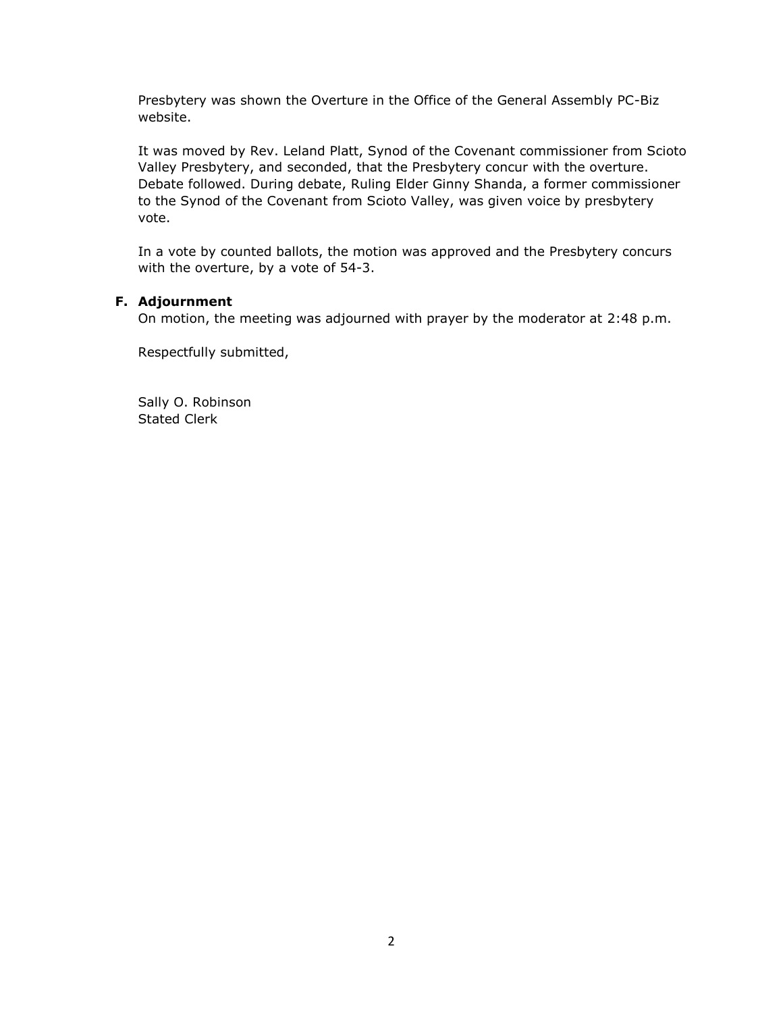Presbytery was shown the Overture in the Office of the General Assembly PC-Biz website.

It was moved by Rev. Leland Platt, Synod of the Covenant commissioner from Scioto Valley Presbytery, and seconded, that the Presbytery concur with the overture. Debate followed. During debate, Ruling Elder Ginny Shanda, a former commissioner to the Synod of the Covenant from Scioto Valley, was given voice by presbytery vote.

In a vote by counted ballots, the motion was approved and the Presbytery concurs with the overture, by a vote of 54-3.

## **F. Adjournment**

On motion, the meeting was adjourned with prayer by the moderator at 2:48 p.m.

Respectfully submitted,

Sally O. Robinson Stated Clerk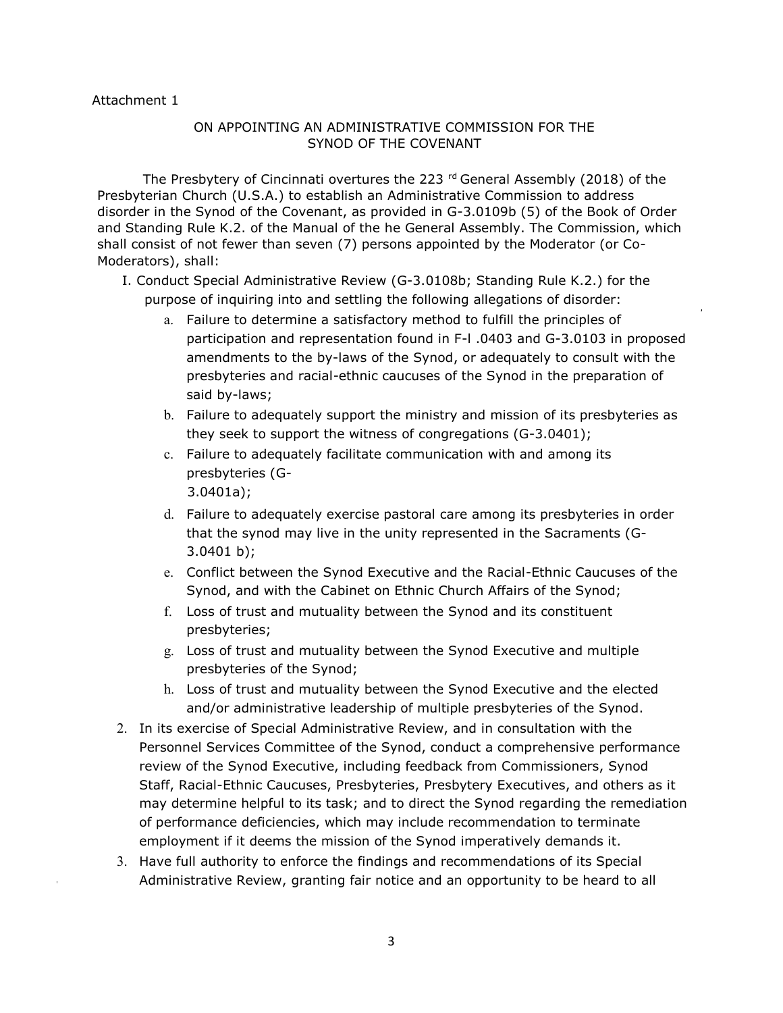#### Attachment 1

## ON APPOINTING AN ADMINISTRATIVE COMMISSION FOR THE SYNOD OF THE COVENANT

The Presbytery of Cincinnati overtures the 223 <sup>rd</sup> General Assembly (2018) of the Presbyterian Church (U.S.A.) to establish an Administrative Commission to address disorder in the Synod of the Covenant, as provided in G-3.0109b (5) of the Book of Order and Standing Rule K.2. of the Manual of the he General Assembly. The Commission, which shall consist of not fewer than seven (7) persons appointed by the Moderator (or Co-Moderators), shall:

- I. Conduct Special Administrative Review (G-3.0108b; Standing Rule K.2.) for the purpose of inquiring into and settling the following allegations of disorder:
	- a. Failure to determine a satisfactory method to fulfill the principles of participation and representation found in F-l .0403 and G-3.0103 in proposed amendments to the by-laws of the Synod, or adequately to consult with the presbyteries and racial-ethnic caucuses of the Synod in the preparation of said by-laws;
	- b. Failure to adequately support the ministry and mission of its presbyteries as they seek to support the witness of congregations (G-3.0401);
	- c. Failure to adequately facilitate communication with and among its presbyteries (G-3.0401a);
	- d. Failure to adequately exercise pastoral care among its presbyteries in order that the synod may live in the unity represented in the Sacraments (G-3.0401 b);
	- e. Conflict between the Synod Executive and the Racial-Ethnic Caucuses of the Synod, and with the Cabinet on Ethnic Church Affairs of the Synod;
	- f. Loss of trust and mutuality between the Synod and its constituent presbyteries;
	- g. Loss of trust and mutuality between the Synod Executive and multiple presbyteries of the Synod;
	- h. Loss of trust and mutuality between the Synod Executive and the elected and/or administrative leadership of multiple presbyteries of the Synod.
- 2. In its exercise of Special Administrative Review, and in consultation with the Personnel Services Committee of the Synod, conduct a comprehensive performance review of the Synod Executive, including feedback from Commissioners, Synod Staff, Racial-Ethnic Caucuses, Presbyteries, Presbytery Executives, and others as it may determine helpful to its task; and to direct the Synod regarding the remediation of performance deficiencies, which may include recommendation to terminate employment if it deems the mission of the Synod imperatively demands it.
- 3. Have full authority to enforce the findings and recommendations of its Special Administrative Review, granting fair notice and an opportunity to be heard to all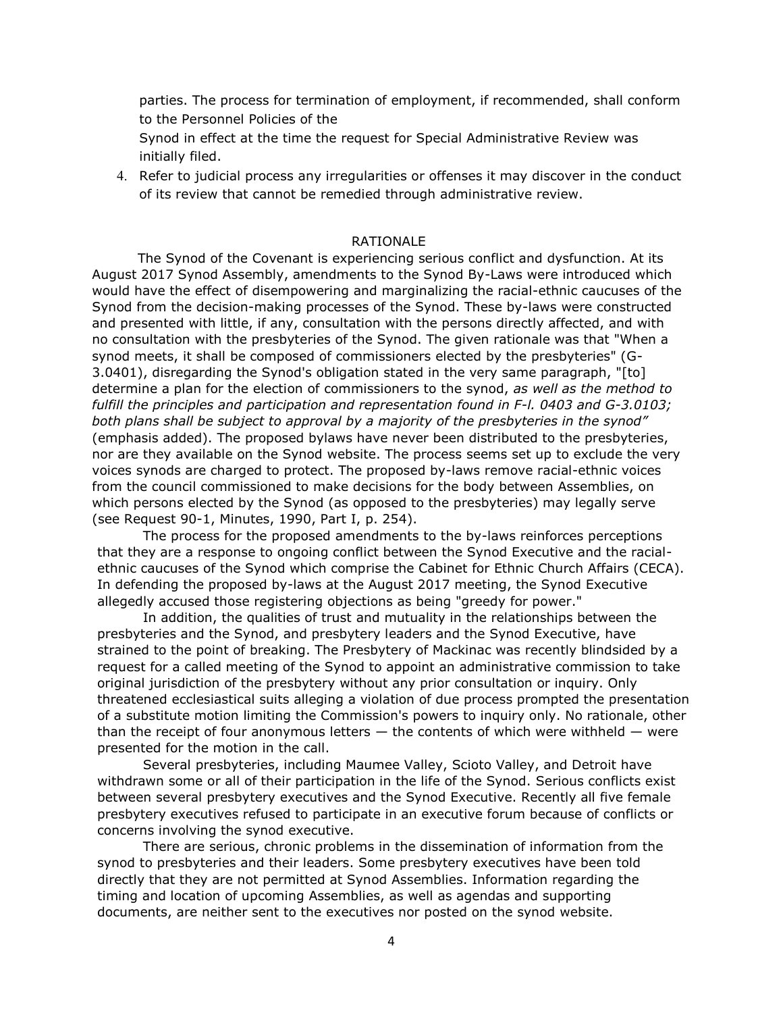parties. The process for termination of employment, if recommended, shall conform to the Personnel Policies of the

Synod in effect at the time the request for Special Administrative Review was initially filed.

4. Refer to judicial process any irregularities or offenses it may discover in the conduct of its review that cannot be remedied through administrative review.

#### RATIONALE

The Synod of the Covenant is experiencing serious conflict and dysfunction. At its August 2017 Synod Assembly, amendments to the Synod By-Laws were introduced which would have the effect of disempowering and marginalizing the racial-ethnic caucuses of the Synod from the decision-making processes of the Synod. These by-laws were constructed and presented with little, if any, consultation with the persons directly affected, and with no consultation with the presbyteries of the Synod. The given rationale was that "When a synod meets, it shall be composed of commissioners elected by the presbyteries" (G-3.0401), disregarding the Synod's obligation stated in the very same paragraph, "[to] determine a plan for the election of commissioners to the synod, *as well as the method to fulfill the principles and participation and representation found in F-l. 0403 and G-3.0103; both plans shall be subject to approval by a majority of the presbyteries in the synod"*  (emphasis added). The proposed bylaws have never been distributed to the presbyteries, nor are they available on the Synod website. The process seems set up to exclude the very voices synods are charged to protect. The proposed by-laws remove racial-ethnic voices from the council commissioned to make decisions for the body between Assemblies, on which persons elected by the Synod (as opposed to the presbyteries) may legally serve (see Request 90-1, Minutes, 1990, Part I, p. 254).

The process for the proposed amendments to the by-laws reinforces perceptions that they are a response to ongoing conflict between the Synod Executive and the racialethnic caucuses of the Synod which comprise the Cabinet for Ethnic Church Affairs (CECA). In defending the proposed by-laws at the August 2017 meeting, the Synod Executive allegedly accused those registering objections as being "greedy for power."

In addition, the qualities of trust and mutuality in the relationships between the presbyteries and the Synod, and presbytery leaders and the Synod Executive, have strained to the point of breaking. The Presbytery of Mackinac was recently blindsided by a request for a called meeting of the Synod to appoint an administrative commission to take original jurisdiction of the presbytery without any prior consultation or inquiry. Only threatened ecclesiastical suits alleging a violation of due process prompted the presentation of a substitute motion limiting the Commission's powers to inquiry only. No rationale, other than the receipt of four anonymous letters  $-$  the contents of which were withheld  $-$  were presented for the motion in the call.

Several presbyteries, including Maumee Valley, Scioto Valley, and Detroit have withdrawn some or all of their participation in the life of the Synod. Serious conflicts exist between several presbytery executives and the Synod Executive. Recently all five female presbytery executives refused to participate in an executive forum because of conflicts or concerns involving the synod executive.

There are serious, chronic problems in the dissemination of information from the synod to presbyteries and their leaders. Some presbytery executives have been told directly that they are not permitted at Synod Assemblies. Information regarding the timing and location of upcoming Assemblies, as well as agendas and supporting documents, are neither sent to the executives nor posted on the synod website.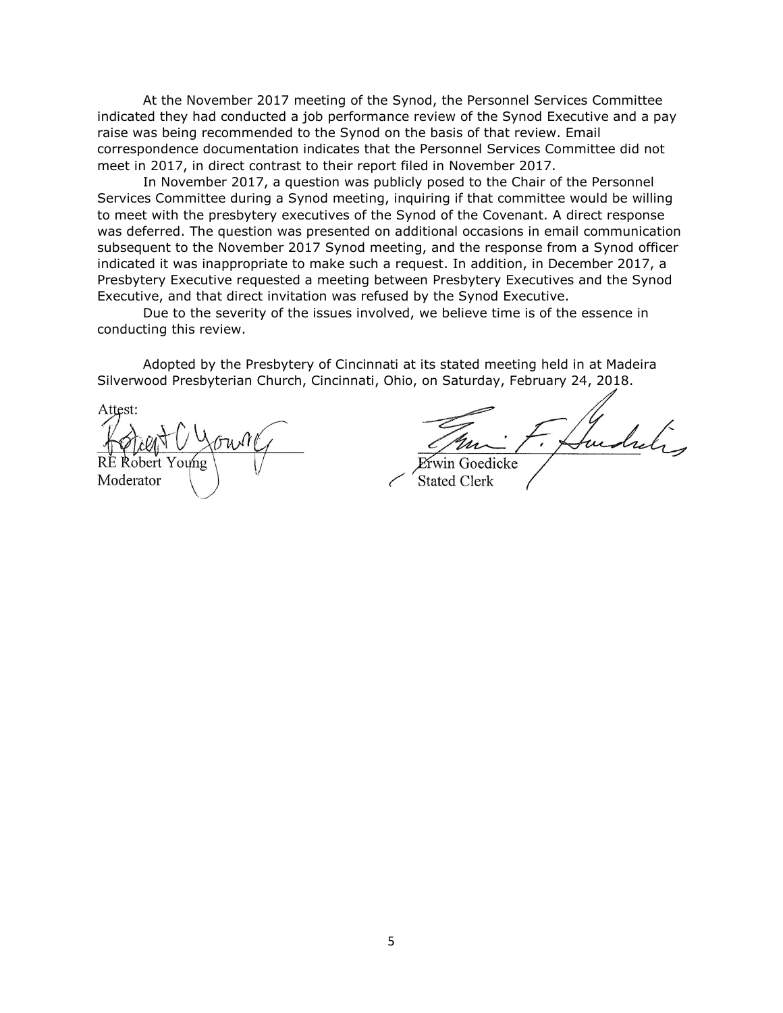At the November 2017 meeting of the Synod, the Personnel Services Committee indicated they had conducted a job performance review of the Synod Executive and a pay raise was being recommended to the Synod on the basis of that review. Email correspondence documentation indicates that the Personnel Services Committee did not meet in 2017, in direct contrast to their report filed in November 2017.

In November 2017, a question was publicly posed to the Chair of the Personnel Services Committee during a Synod meeting, inquiring if that committee would be willing to meet with the presbytery executives of the Synod of the Covenant. A direct response was deferred. The question was presented on additional occasions in email communication subsequent to the November 2017 Synod meeting, and the response from a Synod officer indicated it was inappropriate to make such a request. In addition, in December 2017, a Presbytery Executive requested a meeting between Presbytery Executives and the Synod Executive, and that direct invitation was refused by the Synod Executive.

Due to the severity of the issues involved, we believe time is of the essence in conducting this review.

Adopted by the Presbytery of Cincinnati at its stated meeting held in at Madeira Silverwood Presbyterian Church, Cincinnati, Ohio, on Saturday, February 24, 2018.

Attest: Young Moderator

win Goedicke **Stated Clerk**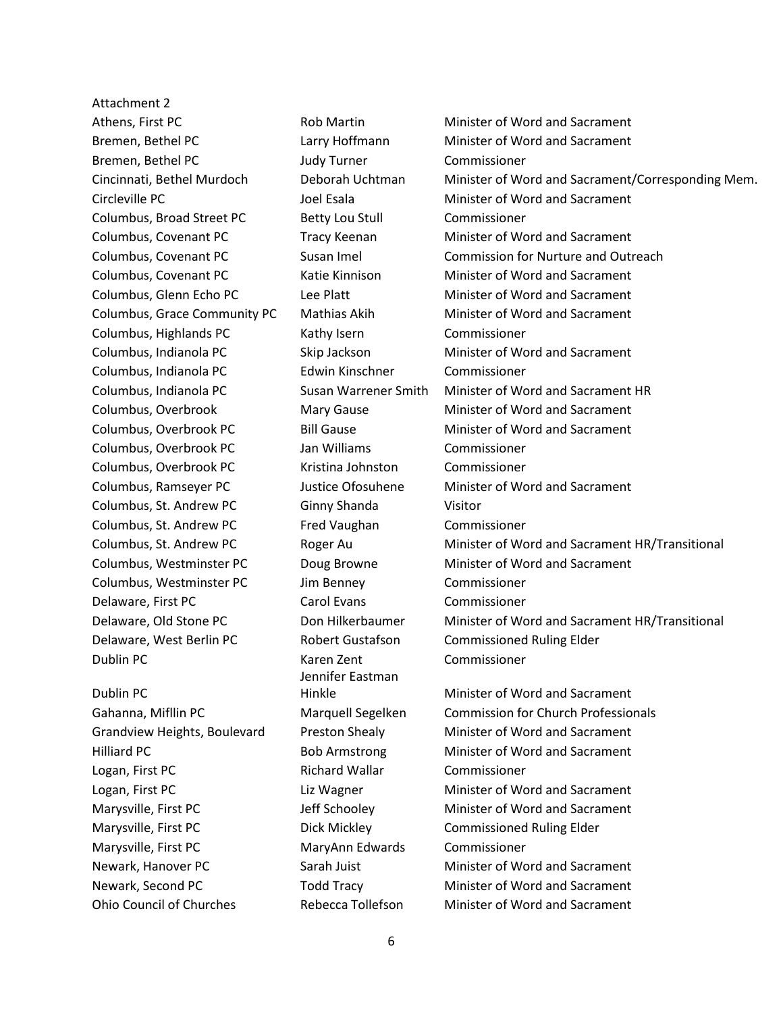Attachment 2 Athens, First PC **Rob Martin** Minister of Word and Sacrament Bremen, Bethel PC Judy Turner Commissioner Columbus, Broad Street PC Betty Lou Stull Commissioner Columbus, Highlands PC Kathy Isern Commissioner Columbus, Indianola PC Edwin Kinschner Commissioner Columbus, Overbrook PC Jan Williams Commissioner Columbus, Overbrook PC Kristina Johnston Commissioner Columbus, St. Andrew PC Ginny Shanda Visitor Columbus, St. Andrew PC Fred Vaughan Commissioner Columbus, Westminster PC Jim Benney Commissioner Delaware, First PC Carol Evans Commissioner Delaware, West Berlin PC Robert Gustafson Commissioned Ruling Elder Dublin PC Karen Zent Commissioner Dublin PC Logan, First PC Richard Wallar Commissioner Marysville, First PC **Dick Mickley** Commissioned Ruling Elder Marysville, First PC MaryAnn Edwards Commissioner

Jennifer Eastman

Bremen, Bethel PC Larry Hoffmann Minister of Word and Sacrament Cincinnati, Bethel Murdoch Deborah Uchtman Minister of Word and Sacrament/Corresponding Mem. Circleville PC Joel Esala Minister of Word and Sacrament Columbus, Covenant PC Tracy Keenan Minister of Word and Sacrament Columbus, Covenant PC Susan Imel Commission for Nurture and Outreach Columbus, Covenant PC Katie Kinnison Minister of Word and Sacrament Columbus, Glenn Echo PC Lee Platt Minister of Word and Sacrament Columbus, Grace Community PC Mathias Akih Minister of Word and Sacrament Columbus, Indianola PC Skip Jackson Minister of Word and Sacrament Columbus, Indianola PC Susan Warrener Smith Minister of Word and Sacrament HR Columbus, Overbrook Mary Gause Minister of Word and Sacrament Columbus, Overbrook PC Bill Gause Minister of Word and Sacrament Columbus, Ramseyer PC Justice Ofosuhene Minister of Word and Sacrament Columbus, St. Andrew PC Roger Au Minister of Word and Sacrament HR/Transitional Columbus, Westminster PC Doug Browne Minister of Word and Sacrament Delaware, Old Stone PC Don Hilkerbaumer Minister of Word and Sacrament HR/Transitional Hinkle Minister of Word and Sacrament Gahanna, Mifllin PC Marquell Segelken Commission for Church Professionals Grandview Heights, Boulevard Preston Shealy Minister of Word and Sacrament Hilliard PC Bob Armstrong Minister of Word and Sacrament Logan, First PC Liz Wagner Minister of Word and Sacrament Marysville, First PC **Jeff Schooley** Minister of Word and Sacrament Newark, Hanover PC Sarah Juist Minister of Word and Sacrament Newark, Second PC Todd Tracy Minister of Word and Sacrament Ohio Council of Churches Rebecca Tollefson Minister of Word and Sacrament